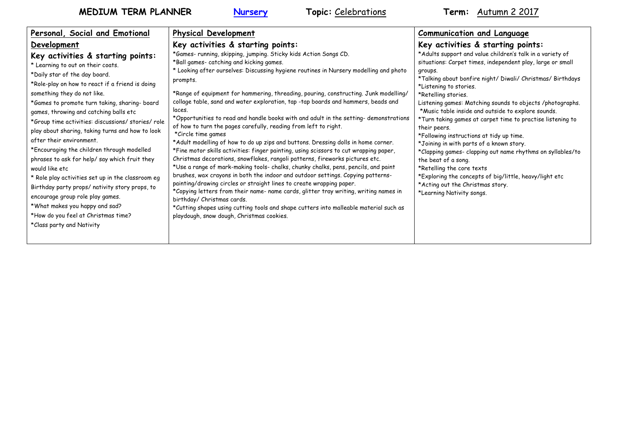| Personal, Social and Emotional                                                                                                                                                                                                                                                                                                                                                                                                                                                                                                                                                                                                                                                                                                                                                              | <b>Physical Development</b>                                                                                                                                                                                                                                                                                                                                                                                                                                                                                                                                                                                                                                                                                                                                                                                                                                                                                                                                                                                                                                                                                                                                                                                                                                                                                                                                           | <b>Communication and Language</b>                                                                                                                                                                                                                                                                                                                                                                                                                                                                                                                                                                                                                                                                                                                                                       |
|---------------------------------------------------------------------------------------------------------------------------------------------------------------------------------------------------------------------------------------------------------------------------------------------------------------------------------------------------------------------------------------------------------------------------------------------------------------------------------------------------------------------------------------------------------------------------------------------------------------------------------------------------------------------------------------------------------------------------------------------------------------------------------------------|-----------------------------------------------------------------------------------------------------------------------------------------------------------------------------------------------------------------------------------------------------------------------------------------------------------------------------------------------------------------------------------------------------------------------------------------------------------------------------------------------------------------------------------------------------------------------------------------------------------------------------------------------------------------------------------------------------------------------------------------------------------------------------------------------------------------------------------------------------------------------------------------------------------------------------------------------------------------------------------------------------------------------------------------------------------------------------------------------------------------------------------------------------------------------------------------------------------------------------------------------------------------------------------------------------------------------------------------------------------------------|-----------------------------------------------------------------------------------------------------------------------------------------------------------------------------------------------------------------------------------------------------------------------------------------------------------------------------------------------------------------------------------------------------------------------------------------------------------------------------------------------------------------------------------------------------------------------------------------------------------------------------------------------------------------------------------------------------------------------------------------------------------------------------------------|
| Development                                                                                                                                                                                                                                                                                                                                                                                                                                                                                                                                                                                                                                                                                                                                                                                 | Key activities & starting points:                                                                                                                                                                                                                                                                                                                                                                                                                                                                                                                                                                                                                                                                                                                                                                                                                                                                                                                                                                                                                                                                                                                                                                                                                                                                                                                                     | Key activities & starting points:                                                                                                                                                                                                                                                                                                                                                                                                                                                                                                                                                                                                                                                                                                                                                       |
| Key activities & starting points:<br>* Learning to out on their coats.<br>*Daily star of the day board.<br>*Role-play on how to react if a friend is doing<br>something they do not like.<br>*Games to promote turn taking, sharing- board<br>games, throwing and catching balls etc<br>*Group time activities: discussions/ stories/ role<br>play about sharing, taking turns and how to look<br>after their environment.<br>*Encouraging the children through modelled<br>phrases to ask for help/say which fruit they<br>would like etc<br>* Role play activities set up in the classroom eg<br>Birthday party props/ nativity story props, to<br>encourage group role play games.<br>*What makes you happy and sad?<br>*How do you feel at Christmas time?<br>*Class party and Nativity | *Games- running, skipping, jumping. Sticky kids Action Songs CD.<br>*Ball games- catching and kicking games.<br>* Looking after ourselves: Discussing hygiene routines in Nursery modelling and photo<br>prompts.<br>*Range of equipment for hammering, threading, pouring, constructing. Junk modelling/<br>collage table, sand and water exploration, tap -tap boards and hammers, beads and<br>laces.<br>*Opportunities to read and handle books with and adult in the setting- demonstrations<br>of how to turn the pages carefully, reading from left to right.<br>*Circle time games<br>*Adult modelling of how to do up zips and buttons. Dressing dolls in home corner.<br>*Fine motor skills activities: finger painting, using scissors to cut wrapping paper,<br>Christmas decorations, snowflakes, rangoli patterns, fireworks pictures etc.<br>*Use a range of mark-making tools- chalks, chunky chalks, pens, pencils, and paint<br>brushes, wax crayons in both the indoor and outdoor settings. Copying patterns-<br>painting/drawing circles or straight lines to create wrapping paper.<br>*Copying letters from their name- name cards, glitter tray writing, writing names in<br>birthday/ Christmas cards.<br>*Cutting shapes using cutting tools and shape cutters into malleable material such as<br>playdough, snow dough, Christmas cookies. | *Adults support and value children's talk in a variety of<br>situations: Carpet times, independent play, large or small<br>groups.<br>*Talking about bonfire night/ Diwali/ Christmas/ Birthdays<br>*Listening to stories.<br>*Retelling stories.<br>Listening games: Matching sounds to objects /photographs.<br>*Music table inside and outside to explore sounds.<br>*Turn taking games at carpet time to practise listening to<br>their peers.<br>*Following instructions at tidy up time.<br>*Joining in with parts of a known story.<br>*Clapping games- clapping out name rhythms on syllables/to<br>the beat of a song.<br>*Retelling the core texts<br>*Exploring the concepts of big/little, heavy/light etc<br>*Acting out the Christmas story.<br>*Learning Nativity songs. |